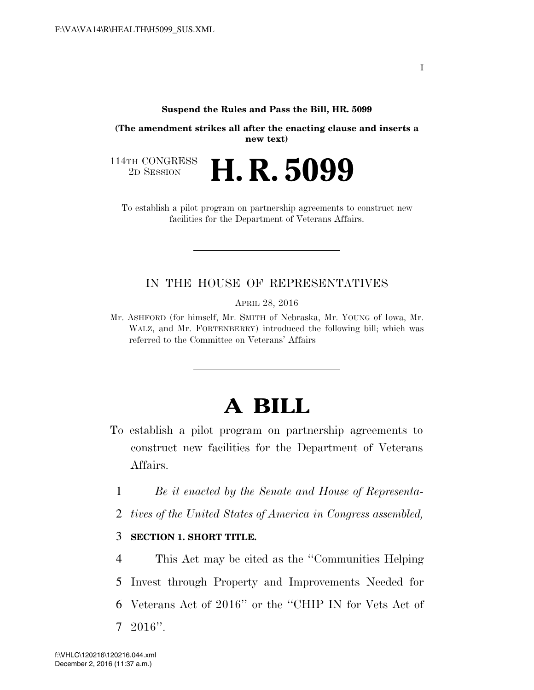## **Suspend the Rules and Pass the Bill, HR. 5099**

**(The amendment strikes all after the enacting clause and inserts a new text)** 

114TH CONGRESS<br>2D SESSION 2D SESSION **H. R. 5099** 

To establish a pilot program on partnership agreements to construct new facilities for the Department of Veterans Affairs.

## IN THE HOUSE OF REPRESENTATIVES

APRIL 28, 2016

Mr. ASHFORD (for himself, Mr. SMITH of Nebraska, Mr. YOUNG of Iowa, Mr. WALZ, and Mr. FORTENBERRY) introduced the following bill; which was referred to the Committee on Veterans' Affairs

## **A BILL**

- To establish a pilot program on partnership agreements to construct new facilities for the Department of Veterans Affairs.
	- 1 *Be it enacted by the Senate and House of Representa-*
- 2 *tives of the United States of America in Congress assembled,*

## 3 **SECTION 1. SHORT TITLE.**

 This Act may be cited as the ''Communities Helping Invest through Property and Improvements Needed for Veterans Act of 2016'' or the ''CHIP IN for Vets Act of 7 2016''.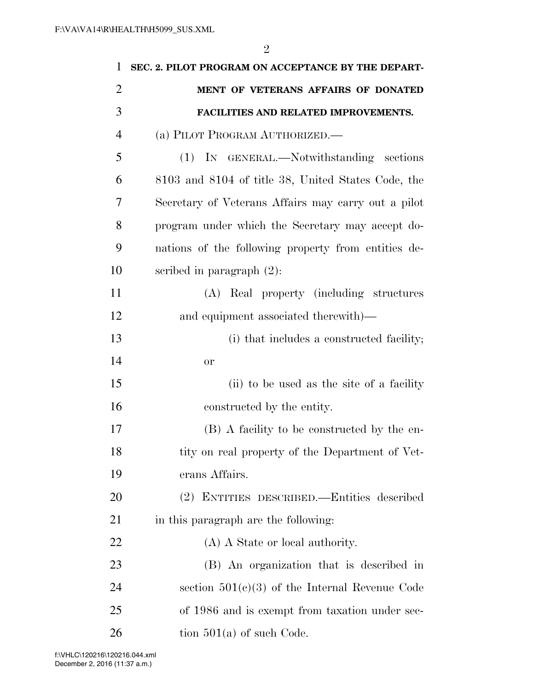| 1              | SEC. 2. PILOT PROGRAM ON ACCEPTANCE BY THE DEPART-  |
|----------------|-----------------------------------------------------|
| $\overline{2}$ | MENT OF VETERANS AFFAIRS OF DONATED                 |
| 3              | FACILITIES AND RELATED IMPROVEMENTS.                |
| $\overline{4}$ | (a) PILOT PROGRAM AUTHORIZED.                       |
| 5              | (1) IN GENERAL.—Notwithstanding sections            |
| 6              | 8103 and 8104 of title 38, United States Code, the  |
| 7              | Secretary of Veterans Affairs may carry out a pilot |
| 8              | program under which the Secretary may accept do-    |
| 9              | nations of the following property from entities de- |
| 10             | scribed in paragraph $(2)$ :                        |
| 11             | (A) Real property (including structures             |
| 12             | and equipment associated therewith)—                |
| 13             | (i) that includes a constructed facility;           |
| 14             | <b>or</b>                                           |
| 15             | (ii) to be used as the site of a facility           |
| 16             | constructed by the entity.                          |
| 17             | (B) A facility to be constructed by the en-         |
| 18             | tity on real property of the Department of Vet-     |
| 19             | erans Affairs.                                      |
| 20             | (2) ENTITIES DESCRIBED.—Entities described          |
| 21             | in this paragraph are the following:                |
| 22             | (A) A State or local authority.                     |
| 23             | (B) An organization that is described in            |
| 24             | section $501(c)(3)$ of the Internal Revenue Code    |
| 25             | of 1986 and is exempt from taxation under sec-      |
| 26             | tion $501(a)$ of such Code.                         |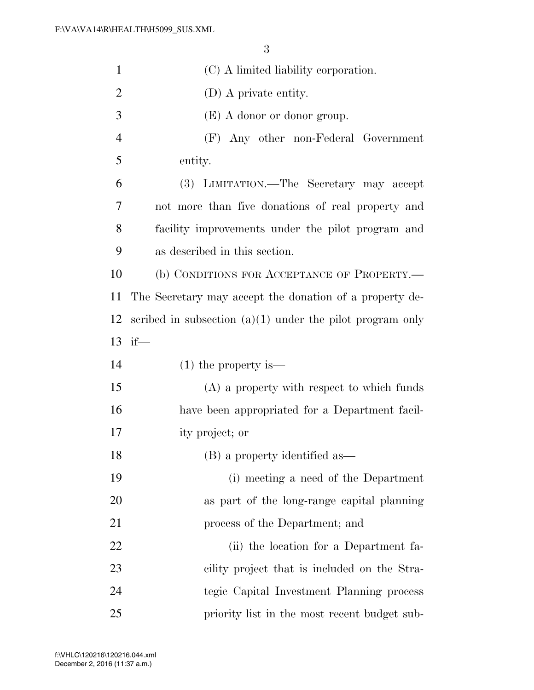| $\mathbf{1}$   | (C) A limited liability corporation.                        |
|----------------|-------------------------------------------------------------|
| $\overline{2}$ | (D) A private entity.                                       |
| 3              | $(E)$ A donor or donor group.                               |
| $\overline{4}$ | (F) Any other non-Federal Government                        |
| 5              | entity.                                                     |
| 6              | (3) LIMITATION.—The Secretary may accept                    |
| 7              | not more than five donations of real property and           |
| 8              | facility improvements under the pilot program and           |
| 9              | as described in this section.                               |
| 10             | (b) CONDITIONS FOR ACCEPTANCE OF PROPERTY.-                 |
| 11             | The Secretary may accept the donation of a property de-     |
| 12             | scribed in subsection $(a)(1)$ under the pilot program only |
|                | 13 if $-$                                                   |
| 14             | $(1)$ the property is —                                     |
| 15             | $(A)$ a property with respect to which funds                |
| 16             | have been appropriated for a Department facil-              |
| 17             | ity project; or                                             |
| 18             |                                                             |
|                | (B) a property identified as—                               |
| 19             | (i) meeting a need of the Department                        |
| 20             | as part of the long-range capital planning                  |
| 21             | process of the Department; and                              |
| 22             | (ii) the location for a Department fa-                      |
| 23             | cility project that is included on the Stra-                |
| 24             | tegic Capital Investment Planning process                   |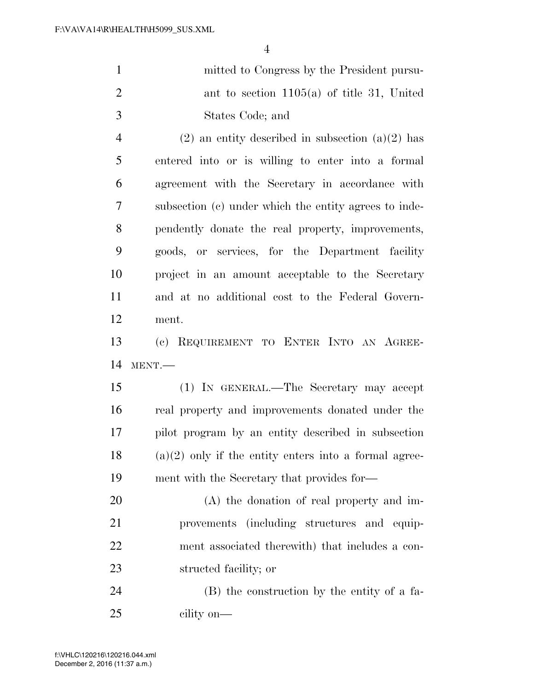| $\mathbf{1}$   | mitted to Congress by the President pursu-            |
|----------------|-------------------------------------------------------|
| 2              | ant to section $1105(a)$ of title 31, United          |
| 3              | States Code; and                                      |
| $\overline{4}$ | $(2)$ an entity described in subsection $(a)(2)$ has  |
| 5              | entered into or is willing to enter into a formal     |
| 6              | agreement with the Secretary in accordance with       |
| $\overline{7}$ | subsection (c) under which the entity agrees to inde- |
| 8              | pendently donate the real property, improvements,     |
| 9              | goods, or services, for the Department facility       |

 project in an amount acceptable to the Secretary and at no additional cost to the Federal Govern-ment.

 (c) REQUIREMENT TO ENTER INTO AN AGREE-MENT.—

 (1) IN GENERAL.—The Secretary may accept real property and improvements donated under the pilot program by an entity described in subsection (a)(2) only if the entity enters into a formal agree-ment with the Secretary that provides for—

 (A) the donation of real property and im- provements (including structures and equip- ment associated therewith) that includes a con-structed facility; or

 (B) the construction by the entity of a fa-cility on—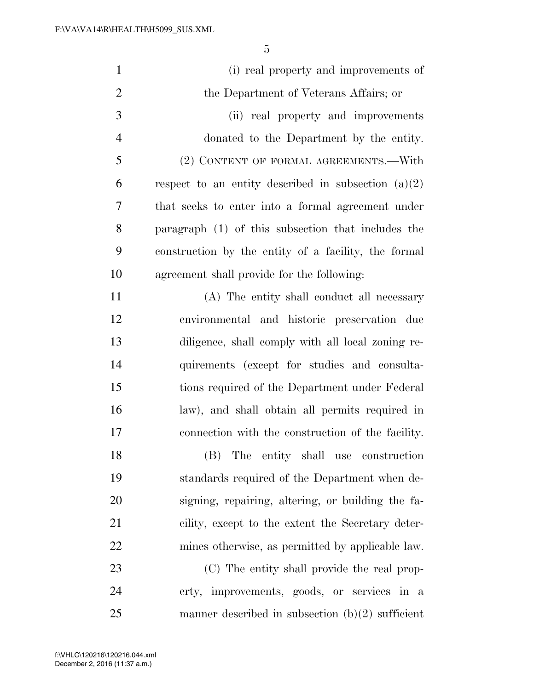| $\mathbf{1}$   | (i) real property and improvements of                 |
|----------------|-------------------------------------------------------|
| $\overline{2}$ | the Department of Veterans Affairs; or                |
| 3              | (ii) real property and improvements                   |
| $\overline{4}$ | donated to the Department by the entity.              |
| 5              | (2) CONTENT OF FORMAL AGREEMENTS.—With                |
| 6              | respect to an entity described in subsection $(a)(2)$ |
| $\overline{7}$ | that seeks to enter into a formal agreement under     |
| 8              | paragraph (1) of this subsection that includes the    |
| 9              | construction by the entity of a facility, the formal  |
| 10             | agreement shall provide for the following:            |
| 11             | (A) The entity shall conduct all necessary            |
| 12             | environmental and historic preservation due           |
| 13             | diligence, shall comply with all local zoning re-     |
| 14             | quirements (except for studies and consulta-          |
| 15             | tions required of the Department under Federal        |
| 16             | law), and shall obtain all permits required in        |
| 17             | connection with the construction of the facility.     |
| 18             | (B) The entity shall use construction                 |
| 19             | standards required of the Department when de-         |
| 20             | signing, repairing, altering, or building the fa-     |
| 21             | cility, except to the extent the Secretary deter-     |
| 22             | mines otherwise, as permitted by applicable law.      |
| 23             | (C) The entity shall provide the real prop-           |
| 24             | erty, improvements, goods, or services in a           |
| 25             | manner described in subsection $(b)(2)$ sufficient    |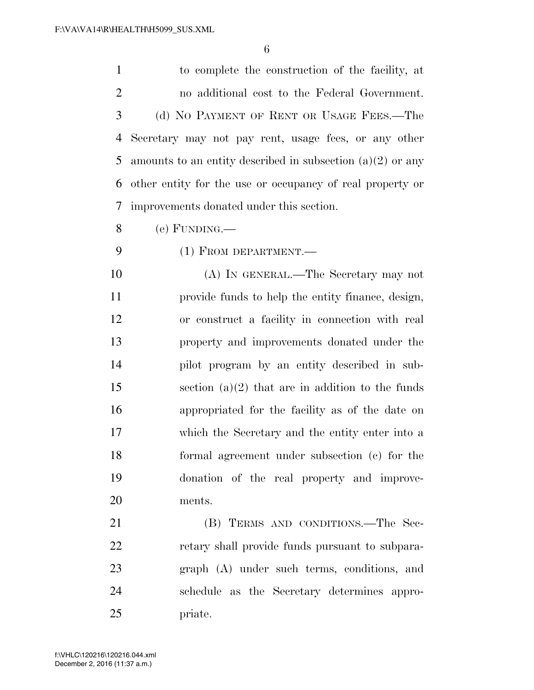to complete the construction of the facility, at no additional cost to the Federal Government. (d) NO PAYMENT OF RENT OR USAGE FEES.—The Secretary may not pay rent, usage fees, or any other 5 amounts to an entity described in subsection  $(a)(2)$  or any other entity for the use or occupancy of real property or improvements donated under this section.

(e) FUNDING.—

(1) FROM DEPARTMENT.—

 (A) IN GENERAL.—The Secretary may not provide funds to help the entity finance, design, or construct a facility in connection with real property and improvements donated under the pilot program by an entity described in sub-15 section  $(a)(2)$  that are in addition to the funds appropriated for the facility as of the date on which the Secretary and the entity enter into a formal agreement under subsection (c) for the donation of the real property and improve-ments.

21 (B) TERMS AND CONDITIONS.—The Sec- retary shall provide funds pursuant to subpara- graph (A) under such terms, conditions, and schedule as the Secretary determines appro-priate.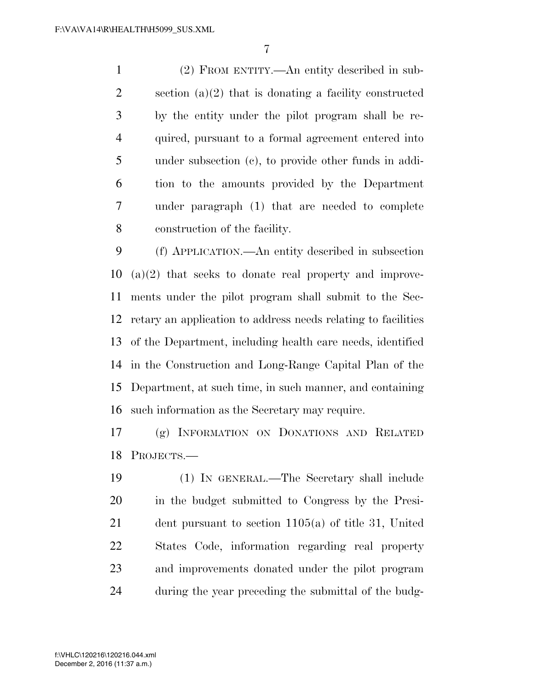(2) FROM ENTITY.—An entity described in sub- section (a)(2) that is donating a facility constructed by the entity under the pilot program shall be re- quired, pursuant to a formal agreement entered into under subsection (c), to provide other funds in addi- tion to the amounts provided by the Department under paragraph (1) that are needed to complete construction of the facility.

 (f) APPLICATION.—An entity described in subsection (a)(2) that seeks to donate real property and improve- ments under the pilot program shall submit to the Sec- retary an application to address needs relating to facilities of the Department, including health care needs, identified in the Construction and Long-Range Capital Plan of the Department, at such time, in such manner, and containing such information as the Secretary may require.

 (g) INFORMATION ON DONATIONS AND RELATED PROJECTS.—

 (1) IN GENERAL.—The Secretary shall include in the budget submitted to Congress by the Presi- dent pursuant to section 1105(a) of title 31, United States Code, information regarding real property and improvements donated under the pilot program during the year preceding the submittal of the budg-